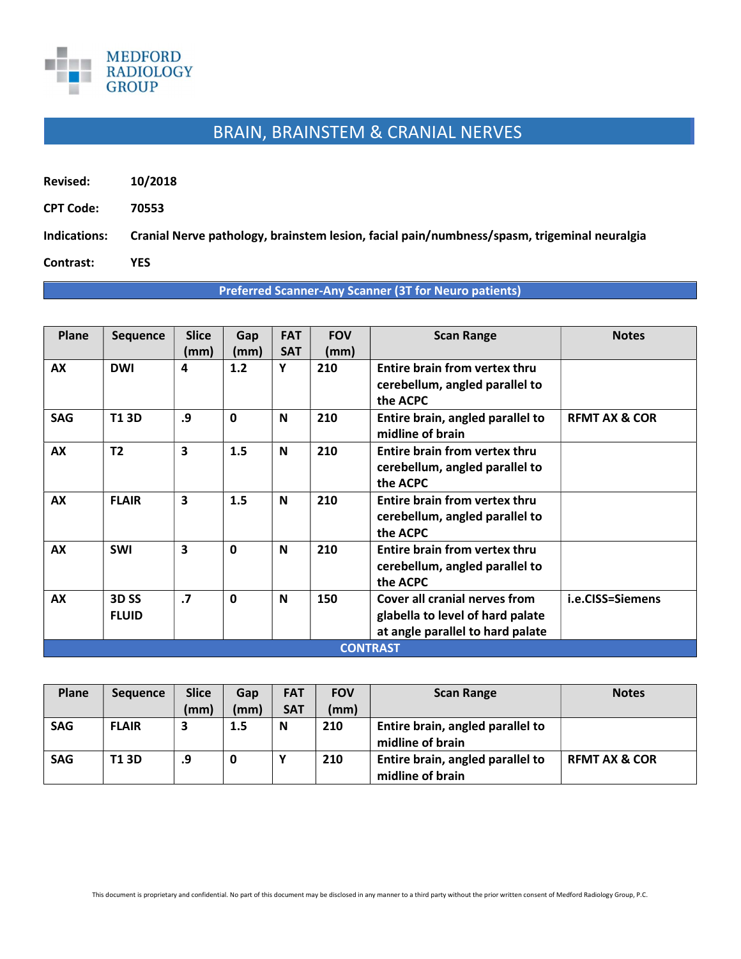

## BRAIN, BRAINSTEM & CRANIAL NERVES

- Revised: 10/2018
- CPT Code: 70553

Indications: Cranial Nerve pathology, brainstem lesion, facial pain/numbness/spasm, trigeminal neuralgia

Contrast: YES

## Preferred Scanner-Any Scanner (3T for Neuro patients)

| Plane           | <b>Sequence</b>                  | <b>Slice</b><br>(mm) | Gap<br>(mm)  | <b>FAT</b><br><b>SAT</b> | <b>FOV</b><br>(mm) | <b>Scan Range</b>                                                                                     | <b>Notes</b>             |  |
|-----------------|----------------------------------|----------------------|--------------|--------------------------|--------------------|-------------------------------------------------------------------------------------------------------|--------------------------|--|
| AX              | <b>DWI</b>                       | 4                    | 1.2          | Υ                        | 210                | Entire brain from vertex thru<br>cerebellum, angled parallel to<br>the ACPC                           |                          |  |
| <b>SAG</b>      | <b>T13D</b>                      | .9                   | $\mathbf{0}$ | N                        | 210                | Entire brain, angled parallel to<br>midline of brain                                                  | <b>REMT AX &amp; COR</b> |  |
| <b>AX</b>       | T <sub>2</sub>                   | 3                    | 1.5          | N                        | 210                | Entire brain from vertex thru<br>cerebellum, angled parallel to<br>the ACPC                           |                          |  |
| AX              | <b>FLAIR</b>                     | 3                    | 1.5          | N                        | 210                | Entire brain from vertex thru<br>cerebellum, angled parallel to<br>the ACPC                           |                          |  |
| AX              | <b>SWI</b>                       | 3                    | $\mathbf{0}$ | N                        | 210                | Entire brain from vertex thru<br>cerebellum, angled parallel to<br>the ACPC                           |                          |  |
| AX              | 3D <sub>SS</sub><br><b>FLUID</b> | $\cdot$              | $\mathbf{0}$ | $\mathbf N$              | 150                | Cover all cranial nerves from<br>glabella to level of hard palate<br>at angle parallel to hard palate | i.e.CISS=Siemens         |  |
| <b>CONTRAST</b> |                                  |                      |              |                          |                    |                                                                                                       |                          |  |

| Plane      | <b>Sequence</b> | <b>Slice</b> | Gap  | <b>FAT</b> | <b>FOV</b> | <b>Scan Range</b>                                    | <b>Notes</b>             |
|------------|-----------------|--------------|------|------------|------------|------------------------------------------------------|--------------------------|
|            |                 | (mm)         | (mm) | <b>SAT</b> | (mm)       |                                                      |                          |
| <b>SAG</b> | <b>FLAIR</b>    | 3            | 1.5  | N          | 210        | Entire brain, angled parallel to<br>midline of brain |                          |
| <b>SAG</b> | T1 3D           | .9           |      |            | 210        | Entire brain, angled parallel to<br>midline of brain | <b>REMT AX &amp; COR</b> |